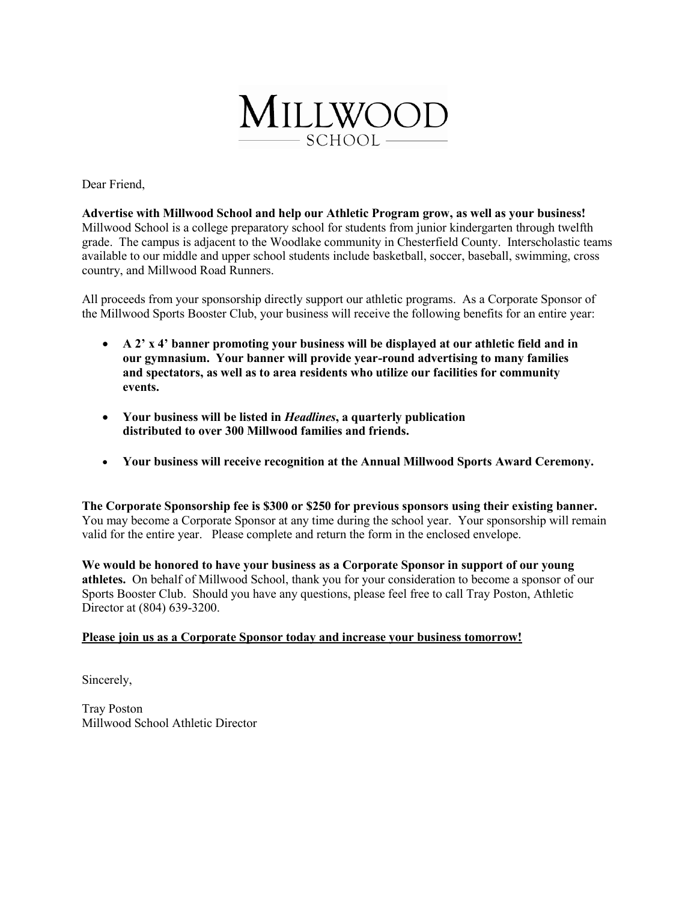

Dear Friend,

**Advertise with Millwood School and help our Athletic Program grow, as well as your business!**  Millwood School is a college preparatory school for students from junior kindergarten through twelfth grade. The campus is adjacent to the Woodlake community in Chesterfield County. Interscholastic teams available to our middle and upper school students include basketball, soccer, baseball, swimming, cross country, and Millwood Road Runners.

All proceeds from your sponsorship directly support our athletic programs. As a Corporate Sponsor of the Millwood Sports Booster Club, your business will receive the following benefits for an entire year:

- **A 2' x 4' banner promoting your business will be displayed at our athletic field and in our gymnasium. Your banner will provide year-round advertising to many families and spectators, as well as to area residents who utilize our facilities for community events.**
- **Your business will be listed in** *Headlines***, a quarterly publication distributed to over 300 Millwood families and friends.**
- **Your business will receive recognition at the Annual Millwood Sports Award Ceremony.**

**The Corporate Sponsorship fee is \$300 or \$250 for previous sponsors using their existing banner.**  You may become a Corporate Sponsor at any time during the school year. Your sponsorship will remain valid for the entire year. Please complete and return the form in the enclosed envelope.

**We would be honored to have your business as a Corporate Sponsor in support of our young athletes.** On behalf of Millwood School, thank you for your consideration to become a sponsor of our Sports Booster Club. Should you have any questions, please feel free to call Tray Poston, Athletic Director at (804) 639-3200.

# **Please join us as a Corporate Sponsor today and increase your business tomorrow!**

Sincerely,

Tray Poston Millwood School Athletic Director